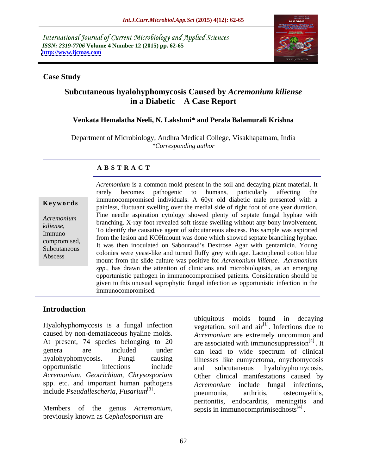International Journal of Current Microbiology and Applied Sciences *ISSN: 2319-7706* **Volume 4 Number 12 (2015) pp. 62-65 <http://www.ijcmas.com>**



### **Case Study**

# **Subcutaneous hyalohyphomycosis Caused by** *Acremonium kiliense* **in a Diabetic A Case Report**

### **Venkata Hemalatha Neeli, N. Lakshmi\* and Perala Balamurali Krishna**

Department of Microbiology, Andhra Medical College, Visakhapatnam, India *\*Corresponding author*

### **A B S T R A C T**

Abscess

*Acremonium* is a common mold present in the soil and decaying plant material. It rarely becomes pathogenic to humans, particularly affecting the immunocompromised individuals. A 60yr old diabetic male presented with a **k** ey w ords<br>painless, fluctuant swelling over the medial side of right foot of one year duration. Fine needle aspiration cytology showed plenty of septate fungal hyphae with branching. X-ray foot revealed soft tissue swelling without any bony involvement. *Acremonium* To identify the causative agent of subcutaneous abscess. Pus sample was aspirated *kiliense*, Immuno-<br>from the lesion and KOHmount was done which showed septate branching hyphae. Exploress compromised,<br>
It was then inoculated on Sabouraud's Dextrose Agar with gentamicin. Young Subcutaneous<br>
colonies were yeast-like and turned fluffy grey with age. Lactophenol cotton blue mount from the slide culture was positive for *Acremonium kiliense. Acremonium spp.,* has drawn the attention of clinicians and microbiologists, as an emerging opportunistic pathogen in immunocompromised patients. Consideration should be given to this unusual saprophytic fungal infection as opportunistic infection in the immunocompromised.

## **Introduction**

Hyalohyphomycosis is a fungal infection vegetation, soil and air<sup>[1]</sup>. Infections due to caused by non-dematiaceous hyaline molds. Acremonium are extremely uncommon and At present, 74 species belonging to 20 are associated with immunosuppression<sup>[4]</sup>. It genera are included under can lead to wide spectrum of clinical hyalohyphomycosis. Fungi causing illnesses like eumycetoma, onychomycosis opportunistic infections include and subcutaneous hyalohyphomycosis. *Acremonium*, *Geotrichium, Chrysosporium* Other clinical manifestations caused by spp. etc. and important human pathogens include *Pseudallescheria, Fusarium*<sup>[3]</sup>. pneumonia, arthritis,

Members of the genus *Acremonium,*  previously known as *Cephalosporium* are

osteomyelitis, ubiquitous molds found in decaying . Infections due to *Acremonium* are extremely uncommon and are associated with immunosuppression $^{[4]}$ . It and subcutaneous hyalohyphomycosis. *Acremonium* include fungal infections, pneumonia, arthritis, osteomyelitis, peritonitis, endocarditis, meningitis and sepsis in immunocomprimisedhosts $^{[4]}$ . .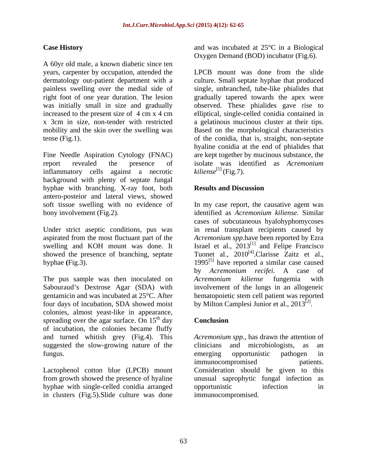A 60yr old male, a known diabetic since ten

Fine Needle Aspiration Cytology (FNAC) report revealed the presence of isolate was identified as *Acremonium* inflammatory cells against a necrotic background with plenty of septate fungal hyphae with branching. X-ray foot, both **Results and Discussion** antero-posteior and lateral views, showed

showed the presence of branching, septate

The pus sample was then inoculated on Acremonium kiliense fungemia with four days of incubation, SDA showed moist colonies, almost yeast-like in appearance, spreading over the agar surface. On  $15<sup>th</sup>$  day **Conclusion** of incubation, the colonies became fluffy suggested the slow-growing nature of the clinicians and microbiologists, as an fungus. The contract of the contract of the contract of the contract of the contract of the contract of the contract of the contract of the contract of the contract of the contract of the contract of the contract of the co

hyphae with single-celled conidia arranged in clusters (Fig.5).Slide culture was done

**Case History** and was incubated at 25<sup>o</sup>C in a Biological Oxygen Demand (BOD) incubator (Fig.6).

years, carpenter by occupation, attended the LPCB mount was done from the slide dermatology out-patient department with a culture. Small septate hyphae that produced painless swelling over the medial side of single, unbranched, tube-like phialides that right foot of one year duration. The lesion gradually tapered towards the apex were was initially small in size and gradually observed. These phialides gave rise to increased to the present size of 4 cm x 4 cm elliptical, single-celled conidia contained in x 3cm in size, non-tender with restricted a gelatinous mucinous cluster at their tips. mobility and the skin over the swelling was Based on the morphological characteristics tense (Fig.1). of the conidia, that is, straight, non-septate hyaline conidia at the end of phialides that are kept together by mucinous substance, the isolate was identified as *Acremonium*  $kiliense^{[5]}$  (Fig.7).

### **Results and Discussion**

soft tissue swelling with no evidence of In my case report, the causative agent was bony involvement (Fig.2). identified as *Acremonium kiliense.* Similar Under strict aseptic conditions, pus was in renal transplant recipients caused by aspirated from the most fluctuant part of the *Acremonium spp*.have been reported by Ezra swelling and KOH mount was done. It Israel et al., 2013<sup>[1]</sup> and Felipe Francisco hyphae  $(Fig.3)$ . 1995<sup>[5]</sup> have reported a similar case caused Sabouraud's Dextrose Agar (SDA) with involvement of the lungs in an allogeneic gentamicin and was incubated at 25°C. After hematopoietic stem cell patient was reported cases of subcutaneous hyalohyphomycoses Tuonet al., 2010<sup>[4]</sup>.Clarisse Zaitz et al., .Clarisse Zaitz et al., by *Acremonium recifei*. A case of *Acremonium kiliense* fungemia with by Milton Camplesi Junior et al.,  $2013^{[2]}$ . .

### <sup>th</sup> day **Conclusion Conclusion**

and turned whitish grey (Fig.4). This *Acremonium spp.,* has drawn the attention of Lactophenol cotton blue (LPCB) mount Consideration should be given to this from growth showed the presence of hyaline unusualsaprophytic fungal infection as clinicians and microbiologists, as an emerging opportunistic pathogen in immunocompromised patients. opportunistic infection in immunocompromised.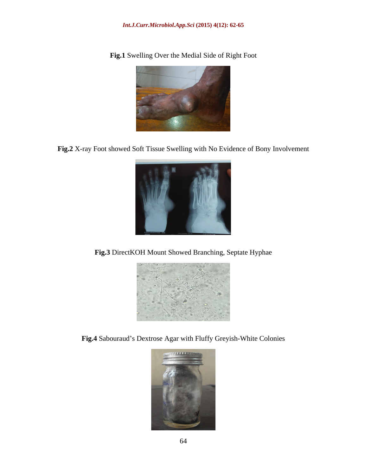### *Int.J.Curr.Microbiol.App.Sci* **(2015) 4(12): 62-65**

**Fig.1** Swelling Over the Medial Side of Right Foot

**Fig.2** X-ray Foot showed Soft Tissue Swelling with No Evidence of Bony Involvement



**Fig.3** DirectKOH Mount Showed Branching, Septate Hyphae



Fig.4 Sabouraud's Dextrose Agar with Fluffy Greyish-White Colonies